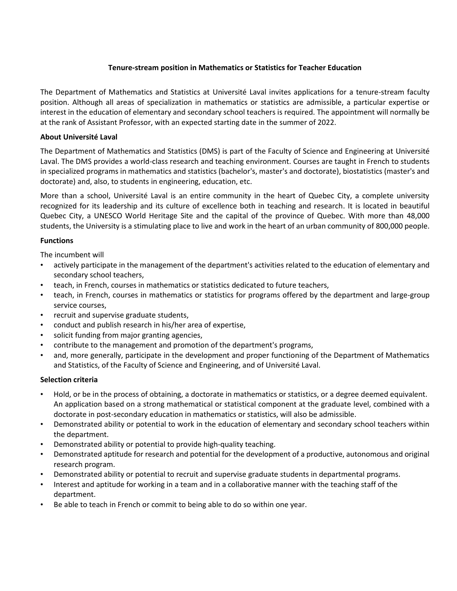# **Tenure-stream position in Mathematics or Statistics for Teacher Education**

The Department of Mathematics and Statistics at Université Laval invites applications for a tenure-stream faculty position. Although all areas of specialization in mathematics or statistics are admissible, a particular expertise or interest in the education of elementary and secondary school teachers is required. The appointment will normally be at the rank of Assistant Professor, with an expected starting date in the summer of 2022.

### **About Université Laval**

The Department of Mathematics and Statistics (DMS) is part of the Faculty of Science and Engineering at Université Laval. The DMS provides a world-class research and teaching environment. Courses are taught in French to students in specialized programs in mathematics and statistics (bachelor's, master's and doctorate), biostatistics (master's and doctorate) and, also, to students in engineering, education, etc.

More than a school, Université Laval is an entire community in the heart of Quebec City, a complete university recognized for its leadership and its culture of excellence both in teaching and research. It is located in beautiful Quebec City, a UNESCO World Heritage Site and the capital of the province of Quebec. With more than 48,000 students, the University is a stimulating place to live and work in the heart of an urban community of 800,000 people.

# **Functions**

The incumbent will

- actively participate in the management of the department's activities related to the education of elementary and secondary school teachers,
- teach, in French, courses in mathematics or statistics dedicated to future teachers,
- teach, in French, courses in mathematics or statistics for programs offered by the department and large-group service courses,
- recruit and supervise graduate students,
- conduct and publish research in his/her area of expertise,
- solicit funding from major granting agencies,
- contribute to the management and promotion of the department's programs,
- and, more generally, participate in the development and proper functioning of the Department of Mathematics and Statistics, of the Faculty of Science and Engineering, and of Université Laval.

### **Selection criteria**

- Hold, or be in the process of obtaining, a doctorate in mathematics or statistics, or a degree deemed equivalent. An application based on a strong mathematical or statistical component at the graduate level, combined with a doctorate in post-secondary education in mathematics or statistics, will also be admissible.
- Demonstrated ability or potential to work in the education of elementary and secondary school teachers within the department.
- Demonstrated ability or potential to provide high-quality teaching.
- Demonstrated aptitude for research and potential for the development of a productive, autonomous and original research program.
- Demonstrated ability or potential to recruit and supervise graduate students in departmental programs.
- Interest and aptitude for working in a team and in a collaborative manner with the teaching staff of the department.
- Be able to teach in French or commit to being able to do so within one year.